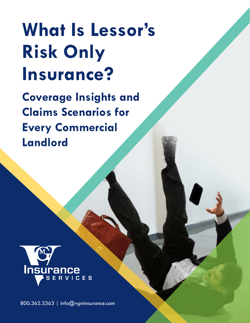# **What Is Lessor's Risk Only Insurance?**

**Coverage Insights and Claims Scenarios for Every Commercial Landlord** 



800.362.3363 | [info@vgminsurance.com](mailto:info%40vgminsurance.com?subject=)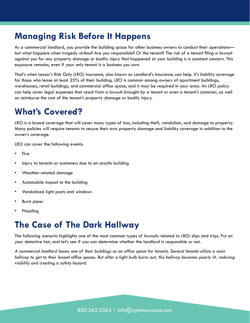### **Managing Risk Before It Happens**

As a commercial landlord, you provide the building space for other business owners to conduct their operations but what happens when tragedy strikes? Are you responsible? Or the tenant? The risk of a tenant filing a lawsuit against you for any property damage or bodily injury that happened at your building is a constant concern. This exposure remains, even if your only tenant is a business *you* own.

That's when Lessor's Risk Only (LRO) insurance, also known as Landlord's Insurance, can help. It's liability coverage for those who lease at least 25% of their building. LRO is common among owners of apartment buildings, warehouses, retail buildings, and commercial office space, and it may be required in your area. An LRO policy can help cover legal expenses that result from a lawsuit brought by a tenant or even a tenant's customer, as well as reimburse the cost of the tenant's property damage or bodily injury.

### **What's Covered?**

LRO is a broad coverage that will cover many types of loss, including theft, vandalism, and damage to property. Many policies will require tenants to secure their own property damage and liability coverage in addition to the owner's coverage.

LRO can cover the following events:

- Fire
- Injury to tenants or customers due to an unsafe building
- Weather-related damage
- Automobile impact to the building
- Vandalized light posts and windows
- Burst pipes
- **Flooding**

### **The Case of The Dark Hallway**

The following scenario highlights one of the most common types of lawsuits related to LRO: slips and trips. Put on your detective hat, and let's see if you can determine whether the landlord is responsible or not.

*A commercial landlord leases one of their buildings as an office space for tenants. Several tenants utilize a main hallway to get to their leased office spaces. But after a light bulb burns out, this hallway becomes poorly lit, reducing visibility and creating a safety hazard.*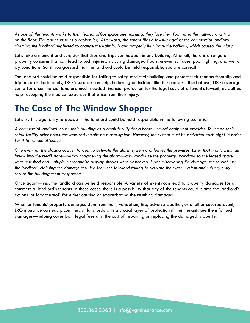*As one of the tenants walks to their leased office space one morning, they lose their footing in the hallway and trip on the floor. The tenant sustains a broken leg. Afterward, the tenant files a lawsuit against the commercial landlord, claiming the landlord neglected to change the light bulb and properly illuminate the hallway, which caused the injury.*

Let's take a moment and consider that slips and trips can happen in any building. After all, there is a range of property concerns that can lead to such injuries, including damaged floors, uneven surfaces, poor lighting, and wet or icy conditions. So, if you guessed that the landlord could be held responsible, you are correct!

The landlord could be held responsible for failing to safeguard their building and protect their tenants from slip and trip hazards. Fortunately, LRO insurance can help. Following an incident like the one described above, LRO coverage can offer a commercial landlord much-needed financial protection for the legal costs of a tenant's lawsuit, as well as help recouping the medical expenses that arise from their injury.

### **The Case of The Window Shopper**

Let's try this again. Try to decide if the landlord could be held responsible in the following scenario.

*A commercial landlord leases their building as a retail facility for a home medical equipment provider. To secure their retail facility after hours, the landlord installs an alarm system. However, the system must be activated each night in order for it to remain effective.* 

*One evening, the closing cashier forgets to activate the alarm system and leaves the premises. Later that night, criminals break into the retail store—without triggering the alarm—and vandalize the property. Windows to the leased space were smashed and multiple merchandise display shelves were destroyed. Upon discovering the damage, the tenant sues the landlord, claiming the damage resulted from the landlord failing to activate the alarm system and subsequently secure the building from trespassers.* 

Once again—yes, the landlord can be held responsible. A variety of events can lead to property damages for a commercial landlord's tenants. In these cases, there is a possibility that any of the tenants could blame the landlord's actions (or lack thereof) for either causing or exacerbating the resulting damages.

Whether tenants' property damages stem from theft, vandalism, fire, adverse weather, or another covered event, LRO insurance can equip commercial landlords with a crucial layer of protection if their tenants sue them for such damages—helping cover both legal fees and the cost of repairing or replacing the damaged property.